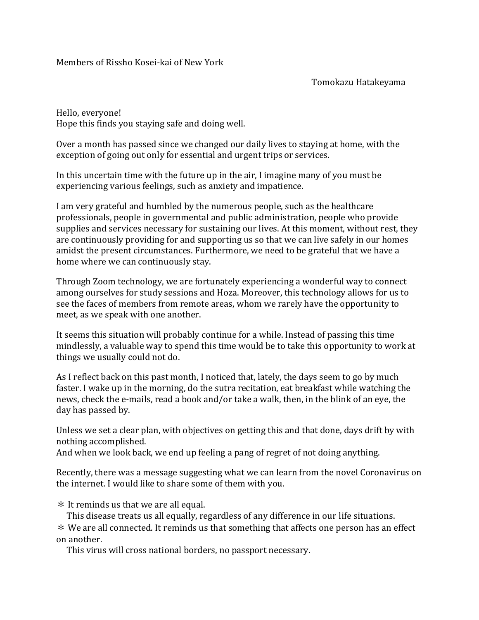Members of Rissho Kosei-kai of New York

Tomokazu Hatakeyama

Hello, everyone! Hope this finds you staying safe and doing well.

Over a month has passed since we changed our daily lives to staying at home, with the exception of going out only for essential and urgent trips or services.

In this uncertain time with the future up in the air, I imagine many of you must be experiencing various feelings, such as anxiety and impatience.

I am very grateful and humbled by the numerous people, such as the healthcare professionals, people in governmental and public administration, people who provide supplies and services necessary for sustaining our lives. At this moment, without rest, they are continuously providing for and supporting us so that we can live safely in our homes amidst the present circumstances. Furthermore, we need to be grateful that we have a home where we can continuously stay.

Through Zoom technology, we are fortunately experiencing a wonderful way to connect among ourselves for study sessions and Hoza. Moreover, this technology allows for us to see the faces of members from remote areas, whom we rarely have the opportunity to meet, as we speak with one another.

It seems this situation will probably continue for a while. Instead of passing this time mindlessly, a valuable way to spend this time would be to take this opportunity to work at things we usually could not do.

As I reflect back on this past month, I noticed that, lately, the days seem to go by much faster. I wake up in the morning, do the sutra recitation, eat breakfast while watching the news, check the e-mails, read a book and/or take a walk, then, in the blink of an eye, the day has passed by.

Unless we set a clear plan, with objectives on getting this and that done, days drift by with nothing accomplished.

And when we look back, we end up feeling a pang of regret of not doing anything.

Recently, there was a message suggesting what we can learn from the novel Coronavirus on the internet. I would like to share some of them with you.

\* It reminds us that we are all equal.

This disease treats us all equally, regardless of any difference in our life situations. \* We are all connected. It reminds us that something that affects one person has an effect on another.

This virus will cross national borders, no passport necessary.